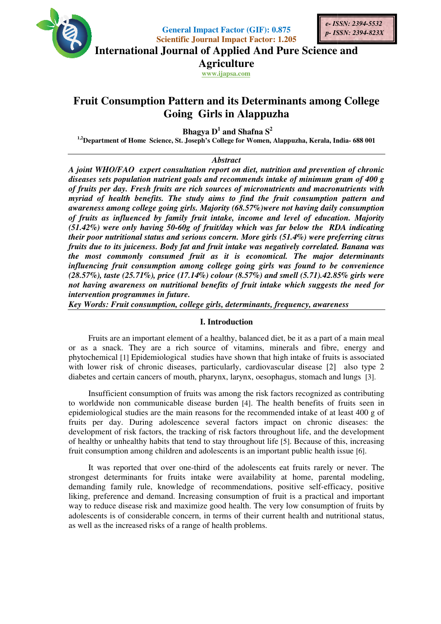

**General Impact Factor (GIF): 0.875 Scientific Journal Impact Factor: 1.205**



**International Journal of Applied And Pure Science and**

**Agriculture**

**www.ijapsa.com** 

# **Fruit Consumption Pattern and its Determinants among College among Going Girls in Alappuzha**

 **Bhagya D<sup>1</sup> and Shafna S<sup>2</sup>**

<sup>1,2</sup>Department of Home Science, St. Joseph's College for Women, Alappuzha, Kerala, India- 688 001

### *Abstract*

A joint WHO/FAO expert consultation report on diet, nutrition and prevention of chronic *diseases sets population nutrient goals and recommends intake of minimum gram of 400 g of fruits per day. Fresh fruits are rich sources of micronutrients and macronutrients with*  diseases sets population nutrient goals and recommends intake of minimum gram of 400 g<br>of fruits per day. Fresh fruits are rich sources of micronutrients and macronutrients with<br>myriad of health benefits. The study a awareness among college going girls. Majority (68.57%)were not having daily consumption *of fruits as influenced by family fruit intake, income and level of education. (51.42%) were only having 50-60g of fruit/day which was far below the RDA indicating their poor nutritional status and serious concern fruits due to its juiceness. Body fat and fruit intake was negatively correlated.* the most commonly consumed fruit as it is economical. The major determinants *influencing fruit consumption among college going girls was found to be convenience*  the most commonly consumed fruit as it is economical. The major determinants<br>influencing fruit consumption among college going girls was found to be convenience<br>(28.57%), taste (25.71%), price (17.14%) colour (8.57%) and s not having awareness on nutritional benefits of fruit intake which suggests the need for *intervention programmes in future.* by family fruit intake, income and level of education. Majority<br>ing 50-60g of fruit/day which was far below the RDA indicating<br>tus and serious concern. More girls (51.4%) were preferring citrus General Impact Factor (GLF)-8.975<br>
General Impact Factor (1218) and Solution and Division 2 and Applied And Pure Science and Applical Montral of Applical And Pure Science and Applical And Pure Science and Applical And Pure *A joint WHO/FAO expert consultation report on diet, nutrition and prevention of chronic diseases sets population nutrient goals and recommends intake of minimum gram of 400 g of fruits per day. Fresh fruits are rich sourc* of fruit/day which was far below the RDA indicating<br>ious concern. More girls (51.4%) were preferring citrus<br>and fruit intake was negatively correlated. Banana was

Key Words: Fruit consumption, college girls, determinants, frequency, awareness

### **I. Introduction**

Fruits are an important element of a healthy, balanced diet, be it as a part of a main meal or as a snack. They are a rich source of vitamins, minerals and fibre, energy and phytochemical [1] Epidemiological studies have shown that high intake of fruits is with lower risk of chronic diseases, particularly, cardiovascular disease  $[2]$  also type 2 diabetes and certain cancers of mouth, pharynx, larynx, oesophagus, stomach and lungs [3]. an important element of a healthy, balanced diet, be it as a part of a main meal.<br>They are a rich source of vitamins, minerals and fibre, energy and 1] Epidemiological studies have shown that high intake of fruits is assoc

Insufficient consumption of fruits was among the risk factors recognized as contributing to worldwide non communicable disease burden [4]. The health benefits of fruits seen in epidemiological studies are the main reasons for the recommended intake of at least 400 g of epidemiological studies are the main reasons for the recommended intake of at least 400 g of fruits per day. During adolescence several factors impact on chronic diseases: the development of risk factors, the tracking of risk factors throughout life, and the development development of risk factors, the tracking of risk factors throughout life, and the development<br>of healthy or unhealthy habits that tend to stay throughout life [5]. Because of this, increasing fruit consumption among children and adolescents is an important public health issue [6]. epidemiological studies are the main reasons for the recommended intake of at least 400 fruits per day. During adolescence several factors impact on chronic diseases: development of risk factors, the tracking of risk facto

It was reported that over one-third of the adolescents eat fruits rarely or never. The<br>It was reported that over one-third of the adolescents eat fruits rarely or never. The strongest determinants for fruits intake were availability at home, parental modeling, strongest determinants for fruits intake were availability at home, parental modeling, demanding family rule, knowledge of recommendations, positive self-efficacy, positive liking, preference and demand. Increasing consumption of fruit is a practical and important liking, preference and demand. Increasing consumption of fruit is a practical and important way to reduce disease risk and maximize good health. The very low consumption of fruits by adolescents is of considerable concern, in terms of their current health and nutritional as well as the increased risks of a range of health problems. It was reported that over one-third of the adolescents eat fruits rarely or never. The strongest determinants for fruits intake were availability at home, parental modeling, demanding family rule, knowledge of recommendati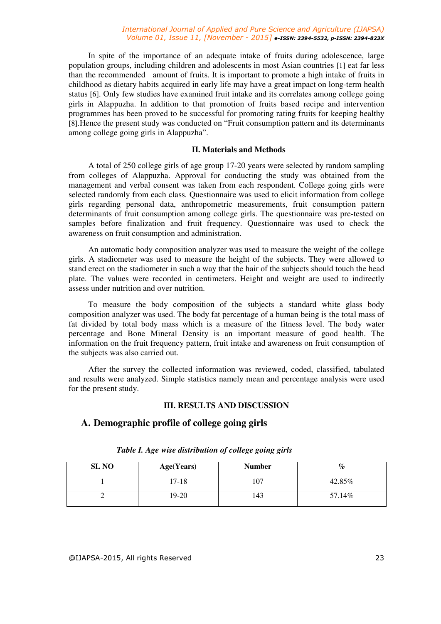In spite of the importance of an adequate intake of fruits during adolescence, large population groups, including children and adolescents in most Asian countries [1] eat far less than the recommended amount of fruits. It is important to promote a high intake of fruits in childhood as dietary habits acquired in early life may have a great impact on long-term health status [6]. Only few studies have examined fruit intake and its correlates among college going girls in Alappuzha. In addition to that promotion of fruits based recipe and intervention programmes has been proved to be successful for promoting rating fruits for keeping healthy [8].Hence the present study was conducted on "Fruit consumption pattern and its determinants among college going girls in Alappuzha".

### **II. Materials and Methods**

A total of 250 college girls of age group 17-20 years were selected by random sampling from colleges of Alappuzha. Approval for conducting the study was obtained from the management and verbal consent was taken from each respondent. College going girls were selected randomly from each class. Questionnaire was used to elicit information from college girls regarding personal data, anthropometric measurements, fruit consumption pattern determinants of fruit consumption among college girls. The questionnaire was pre-tested on samples before finalization and fruit frequency. Questionnaire was used to check the awareness on fruit consumption and administration.

An automatic body composition analyzer was used to measure the weight of the college girls. A stadiometer was used to measure the height of the subjects. They were allowed to stand erect on the stadiometer in such a way that the hair of the subjects should touch the head plate. The values were recorded in centimeters. Height and weight are used to indirectly assess under nutrition and over nutrition.

To measure the body composition of the subjects a standard white glass body composition analyzer was used. The body fat percentage of a human being is the total mass of fat divided by total body mass which is a measure of the fitness level. The body water percentage and Bone Mineral Density is an important measure of good health. The information on the fruit frequency pattern, fruit intake and awareness on fruit consumption of the subjects was also carried out.

After the survey the collected information was reviewed, coded, classified, tabulated and results were analyzed. Simple statistics namely mean and percentage analysis were used for the present study.

### **III. RESULTS AND DISCUSSION**

### **A. Demographic profile of college going girls**

| <b>SL NO</b> | Age(Years) | <b>Number</b> | $\mathcal{C}_{\mathcal{C}}$ |
|--------------|------------|---------------|-----------------------------|
|              | 17-18      | 107           | 42.85%                      |
|              | 19-20      | 143           | 57.14%                      |

### *Table I. Age wise distribution of college going girls*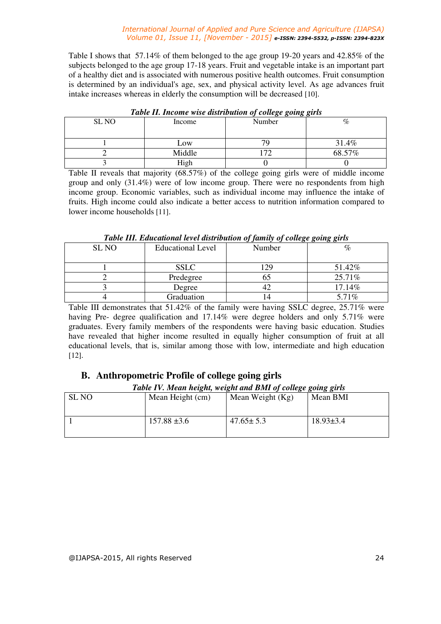Table I shows that 57.14% of them belonged to the age group 19-20 years and 42.85% of the subjects belonged to the age group 17-18 years. Fruit and vegetable intake is an important part of a healthy diet and is associated with numerous positive health outcomes. Fruit consumption is determined by an individual's age, sex, and physical activity level. As age advances fruit intake increases whereas in elderly the consumption will be decreased [10].

| Tubic II. Income wise also wallon of college going girls |        |        |        |  |  |  |  |
|----------------------------------------------------------|--------|--------|--------|--|--|--|--|
| SL NO                                                    | Income | Number | %      |  |  |  |  |
|                                                          | Low    | 74     | 31.4%  |  |  |  |  |
|                                                          | Middle | 70     | 68.57% |  |  |  |  |
|                                                          | High   |        |        |  |  |  |  |

### *Table II. Income wise distribution of college going girls*

Table II reveals that majority (68.57%) of the college going girls were of middle income group and only (31.4%) were of low income group. There were no respondents from high income group. Economic variables, such as individual income may influence the intake of fruits. High income could also indicate a better access to nutrition information compared to lower income households [11].

### *Table III. Educational level distribution of family of college going girls*

| <b>SL NO</b> | <b>Educational Level</b> | Number | %      |
|--------------|--------------------------|--------|--------|
|              |                          |        |        |
|              | <b>SSLC</b>              | 29     | 51.42% |
|              | Predegree                |        | 25.71% |
|              | Degree                   |        | 17.14% |
|              | Graduation               |        | 5.71%  |

Table III demonstrates that 51.42% of the family were having SSLC degree, 25.71% were having Pre- degree qualification and 17.14% were degree holders and only 5.71% were graduates. Every family members of the respondents were having basic education. Studies have revealed that higher income resulted in equally higher consumption of fruit at all educational levels, that is, similar among those with low, intermediate and high education [12].

## **B. Anthropometric Profile of college going girls**

### *Table IV. Mean height, weight and BMI of college going girls*

| <b>SL NO</b> | Mean Height (cm) | Mean Weight (Kg) | Mean BMI        |
|--------------|------------------|------------------|-----------------|
|              | $157.88 \pm 3.6$ | $47.65 \pm 5.3$  | $18.93 \pm 3.4$ |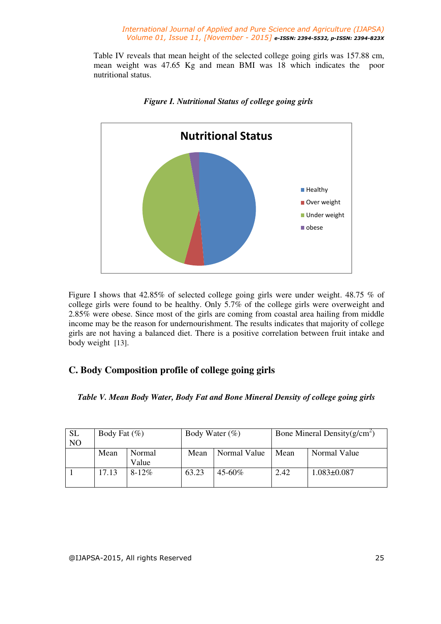Table IV reveals that mean height of the selected college going girls was 157.88 cm, mean weight was 47.65 Kg and mean BMI was 18 which indicates the poor nutritional status.



 *Figure I. Nutritional Status of college going girls*

Figure I shows that 42.85% of selected college going girls were under weight. 48.75 % of college girls were found to be healthy. Only 5.7% of the college girls were overweight and 2.85% were obese. Since most of the girls are coming from coastal area hailing from middle income may be the reason for undernourishment. The results indicates that majority of college girls are not having a balanced diet. There is a positive correlation between fruit intake and body weight [13].

## **C. Body Composition profile of college going girls**

*Table V. Mean Body Water, Body Fat and Bone Mineral Density of college going girls* 

| <b>SL</b><br>N <sub>O</sub> | Body Fat $(\%)$ |                 | Body Water $(\%)$ |              |      | Bone Mineral Density( $g/cm2$ ) |
|-----------------------------|-----------------|-----------------|-------------------|--------------|------|---------------------------------|
|                             | Mean            | Normal<br>Value | Mean              | Normal Value | Mean | Normal Value                    |
|                             | 17.13           | $8-12\%$        | 63.23             | 45-60%       | 2.42 | $1.083 \pm 0.087$               |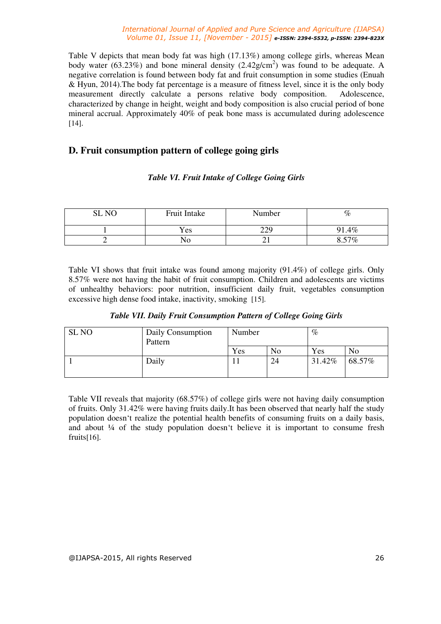Table V depicts that mean body fat was high (17.13%) among college girls, whereas Mean body water (63.23%) and bone mineral density  $(2.42g/cm^2)$  was found to be adequate. A negative correlation is found between body fat and fruit consumption in some studies (Enuah & Hyun, 2014).The body fat percentage is a measure of fitness level, since it is the only body measurement directly calculate a persons relative body composition. Adolescence, characterized by change in height, weight and body composition is also crucial period of bone mineral accrual. Approximately 40% of peak bone mass is accumulated during adolescence [14].

## **D. Fruit consumption pattern of college going girls**

## *Table VI. Fruit Intake of College Going Girls*

| <b>SLNO</b> | Fruit Intake | Number | $\%$   |
|-------------|--------------|--------|--------|
|             | Yes          | 229    | 1.4%   |
|             | 'NO          | ∸ ⊥    | $57\%$ |

Table VI shows that fruit intake was found among majority (91.4%) of college girls. Only 8.57% were not having the habit of fruit consumption. Children and adolescents are victims of unhealthy behaviors: poor nutrition, insufficient daily fruit, vegetables consumption excessive high dense food intake, inactivity, smoking [15].

|  |  |  | Table VII. Daily Fruit Consumption Pattern of College Going Girls |
|--|--|--|-------------------------------------------------------------------|
|--|--|--|-------------------------------------------------------------------|

| <b>SL NO</b> | Daily Consumption<br>Pattern | Number |                | $\%$   |                |
|--------------|------------------------------|--------|----------------|--------|----------------|
|              |                              | Yes    | N <sub>0</sub> | Yes    | N <sub>0</sub> |
|              | Daily                        |        | 24             | 31.42% | 68.57%         |

Table VII reveals that majority (68.57%) of college girls were not having daily consumption of fruits. Only 31.42% were having fruits daily.It has been observed that nearly half the study population doesn't realize the potential health benefits of consuming fruits on a daily basis, and about ¼ of the study population doesn't believe it is important to consume fresh fruits[16].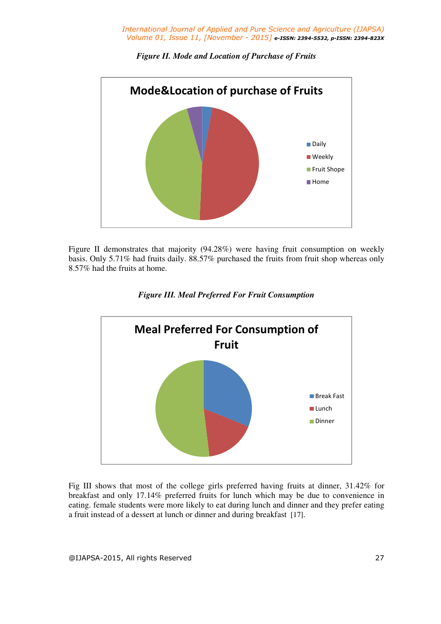

*Figure II. Mode and Location of Purchase of Fruits* 

Figure II demonstrates that majority (94.28%) were having fruit consumption on weekly basis. Only 5.71% had fruits daily. 88.57% purchased the fruits from fruit shop whereas only 8.57% had the fruits at home.



*Figure III. Meal Preferred For Fruit Consumption* 

Fig III shows that most of the college girls preferred having fruits at dinner, 31.42% for breakfast and only 17.14% preferred fruits for lunch which may be due to convenience in eating. female students were more likely to eat during lunch and dinner and they prefer eating a fruit instead of a dessert at lunch or dinner and during breakfast [17].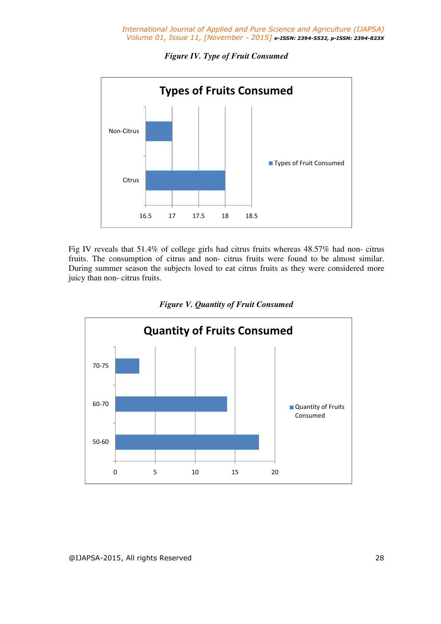*Figure IV. Type of Fruit Consumed* 



Fig IV reveals that 51.4% of college girls had citrus fruits whereas 48.57% had non- citrus fruits. The consumption of citrus and non- citrus fruits were found to be almost similar. During summer season the subjects loved to eat citrus fruits as they were considered more juicy than non- citrus fruits.



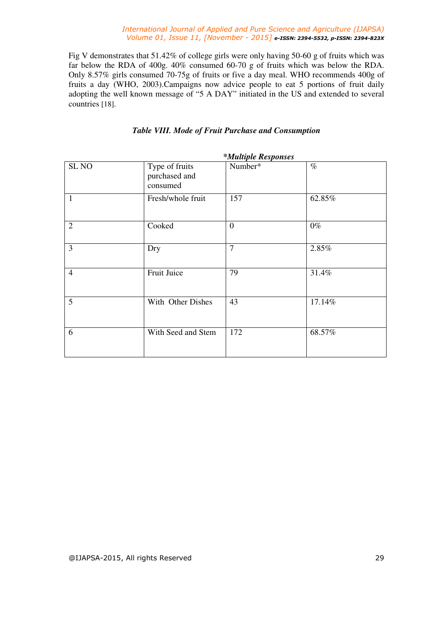Fig V demonstrates that 51.42% of college girls were only having 50-60 g of fruits which was far below the RDA of 400g. 40% consumed 60-70 g of fruits which was below the RDA. Only 8.57% girls consumed 70-75g of fruits or five a day meal. WHO recommends 400g of fruits a day (WHO, 2003).Campaigns now advice people to eat 5 portions of fruit daily adopting the well known message of "5 A DAY" initiated in the US and extended to several countries [18].

| <i>*Multiple Responses</i> |                                             |                |        |  |
|----------------------------|---------------------------------------------|----------------|--------|--|
| SL <sub>NO</sub>           | Type of fruits<br>purchased and<br>consumed | Number*        | $\%$   |  |
| $\mathbf{1}$               | Fresh/whole fruit                           | 157            | 62.85% |  |
| $\overline{2}$             | Cooked                                      | $\overline{0}$ | $0\%$  |  |
| 3                          | Dry                                         | 7              | 2.85%  |  |
| $\overline{4}$             | Fruit Juice                                 | 79             | 31.4%  |  |
| 5                          | With Other Dishes                           | 43             | 17.14% |  |
| 6                          | With Seed and Stem                          | 172            | 68.57% |  |

## *Table VIII. Mode of Fruit Purchase and Consumption*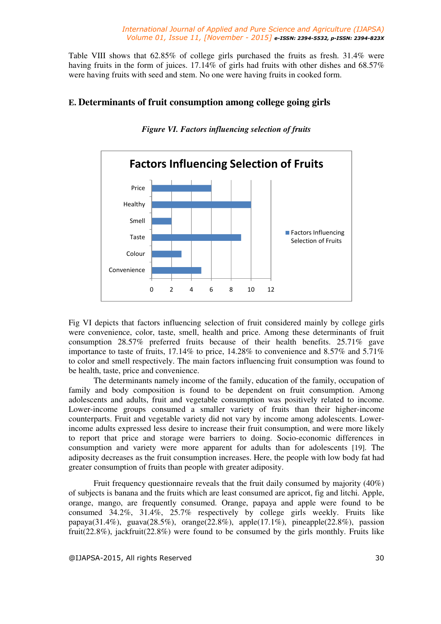Table VIII shows that 62.85% of college girls purchased the fruits as fresh. 31.4% were having fruits in the form of juices. 17.14% of girls had fruits with other dishes and 68.57% were having fruits with seed and stem. No one were having fruits in cooked form.

## **E. Determinants of fruit consumption among college going girls**



*Figure VI. Factors influencing selection of fruits* 

Fig VI depicts that factors influencing selection of fruit considered mainly by college girls were convenience, color, taste, smell, health and price. Among these determinants of fruit consumption 28.57% preferred fruits because of their health benefits. 25.71% gave importance to taste of fruits, 17.14% to price, 14.28% to convenience and 8.57% and 5.71% to color and smell respectively. The main factors influencing fruit consumption was found to be health, taste, price and convenience.

 The determinants namely income of the family, education of the family, occupation of family and body composition is found to be dependent on fruit consumption. Among adolescents and adults, fruit and vegetable consumption was positively related to income. Lower-income groups consumed a smaller variety of fruits than their higher-income counterparts. Fruit and vegetable variety did not vary by income among adolescents. Lowerincome adults expressed less desire to increase their fruit consumption, and were more likely to report that price and storage were barriers to doing. Socio-economic differences in consumption and variety were more apparent for adults than for adolescents [19]. The adiposity decreases as the fruit consumption increases. Here, the people with low body fat had greater consumption of fruits than people with greater adiposity.

 Fruit frequency questionnaire reveals that the fruit daily consumed by majority (40%) of subjects is banana and the fruits which are least consumed are apricot, fig and litchi. Apple, orange, mango, are frequently consumed. Orange, papaya and apple were found to be consumed 34.2%, 31.4%, 25.7% respectively by college girls weekly. Fruits like papaya(31.4%), guava(28.5%), orange(22.8%), apple(17.1%), pineapple(22.8%), passion fruit(22.8%), jackfruit(22.8%) were found to be consumed by the girls monthly. Fruits like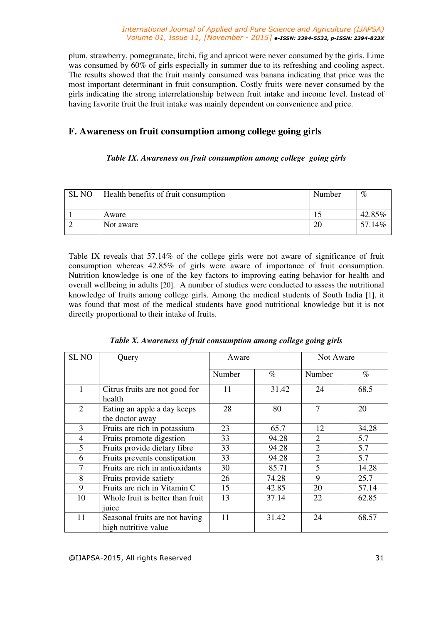plum, strawberry, pomegranate, litchi, fig and apricot were never consumed by the girls. Lime was consumed by 60% of girls especially in summer due to its refreshing and cooling aspect. The results showed that the fruit mainly consumed was banana indicating that price was the most important determinant in fruit consumption. Costly fruits were never consumed by the girls indicating the strong interrelationship between fruit intake and income level. Instead of having favorite fruit the fruit intake was mainly dependent on convenience and price.

## **F. Awareness on fruit consumption among college going girls**

## *Table IX. Awareness on fruit consumption among college going girls*

| SL NO | Health benefits of fruit consumption | Number | $\%$       |
|-------|--------------------------------------|--------|------------|
|       | Aware                                |        | 42.85%     |
|       | Not aware                            |        | 14%<br>57. |

Table IX reveals that 57.14% of the college girls were not aware of significance of fruit consumption whereas 42.85% of girls were aware of importance of fruit consumption. Nutrition knowledge is one of the key factors to improving eating behavior for health and overall wellbeing in adults [20]. A number of studies were conducted to assess the nutritional knowledge of fruits among college girls. Among the medical students of South India [1], it was found that most of the medical students have good nutritional knowledge but it is not directly proportional to their intake of fruits.

| <b>SL NO</b>   | Query                                                  | Aware  |       |                | Not Aware |
|----------------|--------------------------------------------------------|--------|-------|----------------|-----------|
|                |                                                        | Number | $\%$  | Number         | $\%$      |
|                | Citrus fruits are not good for<br>health               | 11     | 31.42 | 24             | 68.5      |
| 2              | Eating an apple a day keeps<br>the doctor away         | 28     | 80    | 7              | 20        |
| 3              | Fruits are rich in potassium                           | 23     | 65.7  | 12             | 34.28     |
| $\overline{4}$ | Fruits promote digestion                               | 33     | 94.28 | 2              | 5.7       |
| 5              | Fruits provide dietary fibre                           | 33     | 94.28 | $\overline{2}$ | 5.7       |
| 6              | Fruits prevents constipation                           | 33     | 94.28 | $\overline{2}$ | 5.7       |
| 7              | Fruits are rich in antioxidants                        | 30     | 85.71 | 5              | 14.28     |
| 8              | Fruits provide satiety                                 | 26     | 74.28 | 9              | 25.7      |
| 9              | Fruits are rich in Vitamin C                           | 15     | 42.85 | 20             | 57.14     |
| 10             | Whole fruit is better than fruit                       | 13     | 37.14 | 22             | 62.85     |
|                | juice                                                  |        |       |                |           |
| 11             | Seasonal fruits are not having<br>high nutritive value | 11     | 31.42 | 24             | 68.57     |

@IJAPSA-2015, All rights Reserved 31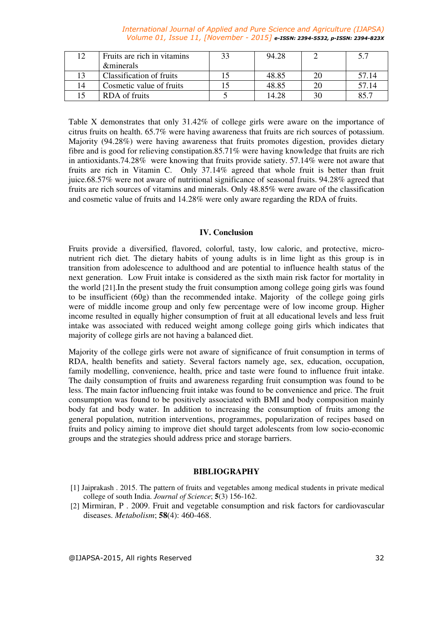|    | Fruits are rich in vitamins | 94.28 |       |
|----|-----------------------------|-------|-------|
|    | <b><i>&amp;minerals</i></b> |       |       |
|    | Classification of fruits    | 48.85 | 57.14 |
| 14 | Cosmetic value of fruits    | 48.85 | 57.14 |
|    | RDA of fruits               | 14.28 |       |

Table X demonstrates that only 31.42% of college girls were aware on the importance of citrus fruits on health. 65.7% were having awareness that fruits are rich sources of potassium. Majority (94.28%) were having awareness that fruits promotes digestion, provides dietary fibre and is good for relieving constipation.85.71% were having knowledge that fruits are rich in antioxidants.74.28% were knowing that fruits provide satiety. 57.14% were not aware that fruits are rich in Vitamin C. Only 37.14% agreed that whole fruit is better than fruit juice.68.57% were not aware of nutritional significance of seasonal fruits. 94.28% agreed that fruits are rich sources of vitamins and minerals. Only 48.85% were aware of the classification and cosmetic value of fruits and 14.28% were only aware regarding the RDA of fruits.

#### **IV. Conclusion**

Fruits provide a diversified, flavored, colorful, tasty, low caloric, and protective, micronutrient rich diet. The dietary habits of young adults is in lime light as this group is in transition from adolescence to adulthood and are potential to influence health status of the next generation. Low Fruit intake is considered as the sixth main risk factor for mortality in the world [21].In the present study the fruit consumption among college going girls was found to be insufficient (60g) than the recommended intake. Majority of the college going girls were of middle income group and only few percentage were of low income group. Higher income resulted in equally higher consumption of fruit at all educational levels and less fruit intake was associated with reduced weight among college going girls which indicates that majority of college girls are not having a balanced diet.

Majority of the college girls were not aware of significance of fruit consumption in terms of RDA, health benefits and satiety. Several factors namely age, sex, education, occupation, family modelling, convenience, health, price and taste were found to influence fruit intake. The daily consumption of fruits and awareness regarding fruit consumption was found to be less. The main factor influencing fruit intake was found to be convenience and price. The fruit consumption was found to be positively associated with BMI and body composition mainly body fat and body water. In addition to increasing the consumption of fruits among the general population, nutrition interventions, programmes, popularization of recipes based on fruits and policy aiming to improve diet should target adolescents from low socio-economic groups and the strategies should address price and storage barriers.

#### **BIBLIOGRAPHY**

- [1] Jaiprakash . 2015. The pattern of fruits and vegetables among medical students in private medical college of south India. *Journal of Science*; **5**(3) 156-162.
- [2] Mirmiran, P . 2009. Fruit and vegetable consumption and risk factors for cardiovascular diseases. *Metabolism*; **58**(4): 460-468.